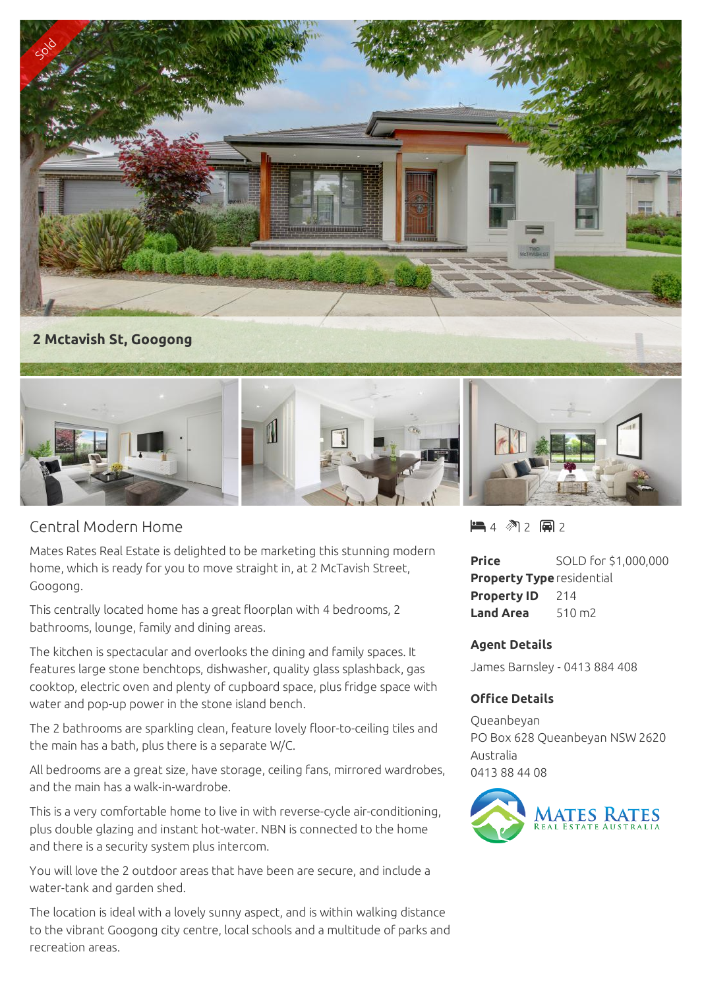

## **2 Mctavish St, Googong**



## Central Modern Home

Mates Rates Real Estate is delighted to be marketing this stunning modern home, which is ready for you to move straight in, at 2 McTavish Street, Googong.

This centrally located home has a great floorplan with 4 bedrooms, 2 bathrooms, lounge, family and dining areas.

The kitchen is spectacular and overlooks the dining and family spaces. It features large stone benchtops, dishwasher, quality glass splashback, gas cooktop, electric oven and plenty of cupboard space, plus fridge space with water and pop-up power in the stone island bench.

The 2 bathrooms are sparkling clean, feature lovely floor-to-ceiling tiles and the main has a bath, plus there is a separate W/C.

All bedrooms are a great size, have storage, ceiling fans, mirrored wardrobes, and the main has a walk-in-wardrobe.

This is a very comfortable home to live in with reverse-cycle air-conditioning, plus double glazing and instant hot-water. NBN is connected to the home and there is a security system plus intercom.

You will love the 2 outdoor areas that have been are secure, and include a water-tank and garden shed.

The location is ideal with a lovely sunny aspect, and is within walking distance to the vibrant Googong city centre, local schools and a multitude of parks and recreation areas.

 $4$   $2$  2 a 2

**Price** SOLD for \$1,000,000 **Property Type**residential **Property ID** 214 **Land Area** 510 m2

## **Agent Details**

James Barnsley - 0413 884 408

## **Office Details**

Queanbeyan PO Box 628 Queanbeyan NSW 2620 Australia 0413 88 44 08